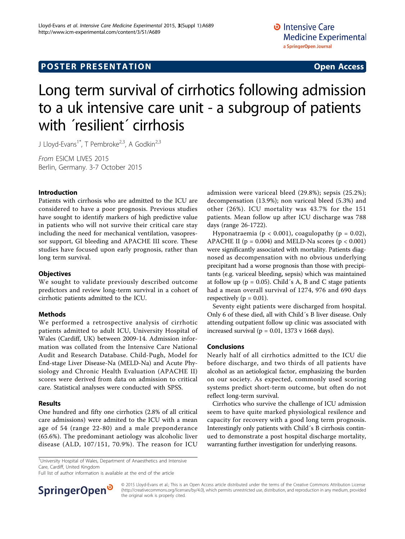## **POSTER PRESENTATION CONSUMING ACCESS**

# Long term survival of cirrhotics following admission to a uk intensive care unit - a subgroup of patients with *'resilient'* cirrhosis

J Lloyd-Evans<sup>1\*</sup>, T Pembroke<sup>2,3</sup>, A Godkin<sup>2,3</sup>

From ESICM LIVES 2015 Berlin, Germany. 3-7 October 2015

#### Introduction

Patients with cirrhosis who are admitted to the ICU are considered to have a poor prognosis. Previous studies have sought to identify markers of high predictive value in patients who will not survive their critical care stay including the need for mechanical ventilation, vasopressor support, GI bleeding and APACHE III score. These studies have focused upon early prognosis, rather than long term survival.

#### **Objectives**

We sought to validate previously described outcome predictors and review long-term survival in a cohort of cirrhotic patients admitted to the ICU.

#### Methods

We performed a retrospective analysis of cirrhotic patients admitted to adult ICU, University Hospital of Wales (Cardiff, UK) between 2009-14. Admission information was collated from the Intensive Care National Audit and Research Database. Child-Pugh, Model for End-stage Liver Disease-Na (MELD-Na) and Acute Physiology and Chronic Health Evaluation (APACHE II) scores were derived from data on admission to critical care. Statistical analyses were conducted with SPSS.

#### Results

One hundred and fifty one cirrhotics (2.8% of all critical care admissions) were admited to the ICU with a mean age of 54 (range 22-80) and a male preponderance (65.6%). The predominant aetiology was alcoholic liver disease (ALD, 107/151, 70.9%). The reason for ICU

<sup>1</sup>University Hospital of Wales, Department of Anaesthetics and Intensive Care, Cardiff, United Kingdom

Full list of author information is available at the end of the article



admission were variceal bleed (29.8%); sepsis (25.2%); decompensation (13.9%); non variceal bleed (5.3%) and other (26%). ICU mortality was 43.7% for the 151 patients. Mean follow up after ICU discharge was 788 days (range 26-1722).

Hyponatraemia ( $p < 0.001$ ), coagulopathy ( $p = 0.02$ ), APACHE II ( $p = 0.004$ ) and MELD-Na scores ( $p < 0.001$ ) were significantly associated with mortality. Patients diagnosed as decompensation with no obvious underlying precipitant had a worse prognosis than those with precipitants (e.g. variceal bleeding, sepsis) which was maintained at follow up ( $p = 0.05$ ). Child's A, B and C stage patients had a mean overall survival of 1274, 976 and 690 days respectively ( $p = 0.01$ ).

Seventy eight patients were discharged from hospital. Only 6 of these died, all with Child´s B liver disease. Only attending outpatient follow up clinic was associated with increased survival ( $p = 0.01$ , 1373 v 1668 days).

#### Conclusions

Nearly half of all cirrhotics admitted to the ICU die before discharge, and two thirds of all patients have alcohol as an aetiological factor, emphasizing the burden on our society. As expected, commonly used scoring systems predict short-term outcome, but often do not reflect long-term survival.

Cirrhotics who survive the challenge of ICU admission seem to have quite marked physiological resilence and capacity for recovery with a good long term prognosis. Interestingly only patients with Child´s B cirrhosis continued to demonstrate a post hospital discharge mortality, warranting further investigation for underlying reasons.

<sup>© 2015</sup> Lloyd-Evans et al.; This is an Open Access article distributed under the terms of the Creative Commons Attribution License [\(http://creativecommons.org/licenses/by/4.0](http://creativecommons.org/licenses/by/4.0)), which permits unrestricted use, distribution, and reproduction in any medium, provided the original work is properly cited.